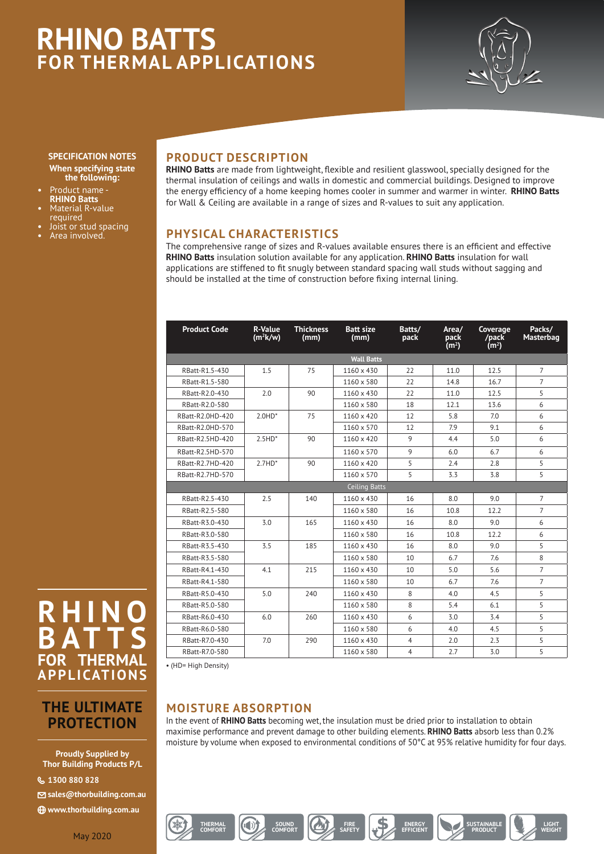# **RHINO BATTS FOR THERMAL APPLICATIONS**



#### **SPECIFICATION NOTES When specifying state the following:**

- **•** Product name **RHINO Batts**
- **•** Material R-value required
- **•** Joist or stud spacing
- **•** Area involved.

### **PRODUCT DESCRIPTION**

**RHINO Batts** are made from lightweight, flexible and resilient glasswool, specially designed for the thermal insulation of ceilings and walls in domestic and commercial buildings. Designed to improve the energy efficiency of a home keeping homes cooler in summer and warmer in winter. **RHINO Batts** for Wall & Ceiling are available in a range of sizes and R-values to suit any application.

## **PHYSICAL CHARACTERISTICS**

The comprehensive range of sizes and R-values available ensures there is an efficient and effective **RHINO Batts** insulation solution available for any application. **RHINO Batts** insulation for wall applications are stiffened to fit snugly between standard spacing wall studs without sagging and should be installed at the time of construction before fixing internal lining.

| <b>Product Code</b> | R-Value<br>$(m^2k/w)$ | <b>Thickness</b><br>(mm) | <b>Batt size</b><br>(mm) | Batts/<br>pack | Area/<br>pack<br>(m <sup>2</sup> ) | Coverage<br>/pack<br>(m <sup>2</sup> ) | Packs/<br>Masterbag |
|---------------------|-----------------------|--------------------------|--------------------------|----------------|------------------------------------|----------------------------------------|---------------------|
| <b>Wall Batts</b>   |                       |                          |                          |                |                                    |                                        |                     |
| RBatt-R1.5-430      | 1.5                   | 75                       | 1160 x 430               | 22             | 11.0                               | 12.5                                   | $\overline{7}$      |
| RBatt-R1.5-580      |                       |                          | 1160 x 580               | 22             | 14.8                               | 16.7                                   | $\overline{7}$      |
| RBatt-R2.0-430      | 2.0                   | 90                       | 1160 x 430               | 22             | 11.0                               | 12.5                                   | 5                   |
| RBatt-R2.0-580      |                       |                          | 1160 x 580               | 18             | 12.1                               | 13.6                                   | 6                   |
| RBatt-R2.0HD-420    | $2.0HD*$              | 75                       | 1160 x 420               | 12             | 5.8                                | 7.0                                    | 6                   |
| RBatt-R2.0HD-570    |                       |                          | 1160 x 570               | 12             | 7.9                                | 9.1                                    | 6                   |
| RBatt-R2.5HD-420    | $2.5HD*$              | 90                       | 1160 x 420               | 9              | 4.4                                | 5.0                                    | 6                   |
| RBatt-R2.5HD-570    |                       |                          | 1160 x 570               | 9              | 6.0                                | 6.7                                    | 6                   |
| RBatt-R2.7HD-420    | $2.7HD*$              | 90                       | 1160 x 420               | 5              | 2.4                                | 2.8                                    | 5                   |
| RBatt-R2.7HD-570    |                       |                          | 1160 x 570               | 5              | 3.3                                | 3.8                                    | 5                   |
| Ceiling Batts       |                       |                          |                          |                |                                    |                                        |                     |
| RBatt-R2.5-430      | 2.5                   | 140                      | 1160 x 430               | 16             | 8.0                                | 9.0                                    | $\overline{7}$      |
| RBatt-R2.5-580      |                       |                          | 1160 x 580               | 16             | 10.8                               | 12.2                                   | $\overline{7}$      |
| RBatt-R3.0-430      | 3.0                   | 165                      | 1160 x 430               | 16             | 8.0                                | 9.0                                    | 6                   |
| RBatt-R3.0-580      |                       |                          | 1160 x 580               | 16             | 10.8                               | 12.2                                   | 6                   |
| RBatt-R3.5-430      | 3.5                   | 185                      | 1160 x 430               | 16             | 8.0                                | 9.0                                    | 5                   |
| RBatt-R3.5-580      |                       |                          | 1160 x 580               | 10             | 6.7                                | 7.6                                    | 8                   |
| RBatt-R4.1-430      | 4.1                   | 215                      | 1160 x 430               | 10             | 5.0                                | 5.6                                    | $\overline{7}$      |
| RBatt-R4.1-580      |                       |                          | 1160 x 580               | 10             | 6.7                                | 7.6                                    | $\overline{7}$      |
| RBatt-R5.0-430      | 5.0                   | 240                      | 1160 x 430               | 8              | 4.0                                | 4.5                                    | 5                   |
| RBatt-R5.0-580      |                       |                          | 1160 x 580               | 8              | 5.4                                | 6.1                                    | 5                   |
| RBatt-R6.0-430      | 6.0                   | 260                      | 1160 x 430               | 6              | 3.0                                | 3.4                                    | 5                   |
| RBatt-R6.0-580      |                       |                          | 1160 x 580               | 6              | 4.0                                | 4.5                                    | 5                   |
| RBatt-R7.0-430      | 7.0                   | 290                      | 1160 x 430               | $\overline{4}$ | 2.0                                | 2.3                                    | 5                   |
| RBatt-R7.0-580      |                       |                          | 1160 x 580               | $\overline{4}$ | 2.7                                | 3.0                                    | 5                   |

• (HD= High Density)

**THERMAL**

## **MOISTURE ABSORPTION**

**COMFORT COMFORT COMFORT COMFORT COMFORT** 

SOUND **MEORT CALLY** SAFETY

**COMFORT ENERGY ENERGY ENERGY ENERGY** 

In the event of **RHINO Batts** becoming wet, the insulation must be dried prior to installation to obtain maximise performance and prevent damage to other building elements. **RHINO Batts** absorb less than 0.2% moisture by volume when exposed to environmental conditions of 50°C at 95% relative humidity for four days.

## **R H I N<br>B A T T B FOR THERM APPLICATIONS**

## **THE ULTIMATE PROTECTION**

**Proudly Supplied by Thor Building Products P/L**

{ **1300 880 828**

N **sales@thorbuilding.com.au**

i **www.thorbuilding.com.au**